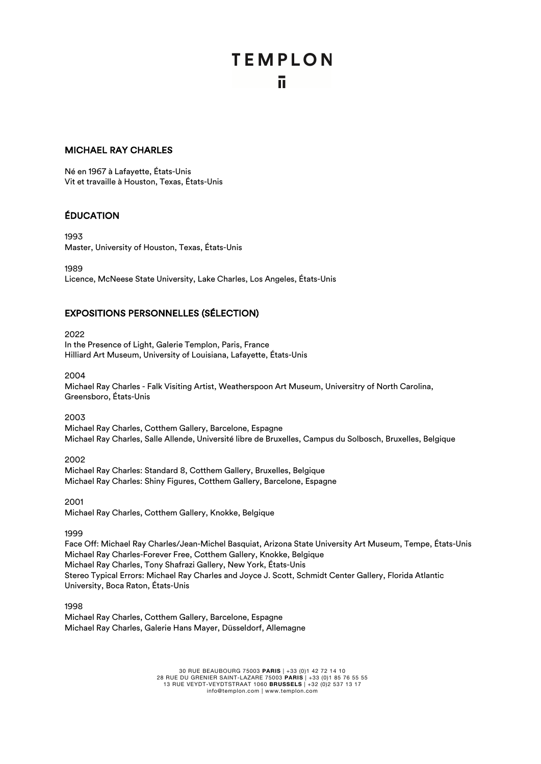# **TEMPLON** ū.

#### MICHAEL RAY CHARLES

Né en 1967 à Lafayette, États-Unis Vit et travaille à Houston, Texas, États-Unis

## ÉDUCATION

1993 Master, University of Houston, Texas, États-Unis

1989

Licence, McNeese State University, Lake Charles, Los Angeles, États-Unis

#### EXPOSITIONS PERSONNELLES (SÉLECTION)

2022 In the Presence of Light, Galerie Templon, Paris, France Hilliard Art Museum, University of Louisiana, Lafayette, États-Unis

2004

Michael Ray Charles - Falk Visiting Artist, Weatherspoon Art Museum, Universitry of North Carolina, Greensboro, États-Unis

2003

Michael Ray Charles, Cotthem Gallery, Barcelone, Espagne Michael Ray Charles, Salle Allende, Université libre de Bruxelles, Campus du Solbosch, Bruxelles, Belgique

2002 Michael Ray Charles: Standard 8, Cotthem Gallery, Bruxelles, Belgique Michael Ray Charles: Shiny Figures, Cotthem Gallery, Barcelone, Espagne

2001 Michael Ray Charles, Cotthem Gallery, Knokke, Belgique

1999

Face Off: Michael Ray Charles/Jean-Michel Basquiat, Arizona State University Art Museum, Tempe, États-Unis Michael Ray Charles-Forever Free, Cotthem Gallery, Knokke, Belgique Michael Ray Charles, Tony Shafrazi Gallery, New York, États-Unis Stereo Typical Errors: Michael Ray Charles and Joyce J. Scott, Schmidt Center Gallery, Florida Atlantic University, Boca Raton, États-Unis

1998 Michael Ray Charles, Cotthem Gallery, Barcelone, Espagne Michael Ray Charles, Galerie Hans Mayer, Düsseldorf, Allemagne

> 30 RUE BEAUBOURG 75003 **PARIS** | +33 (0)1 42 72 14 10 28 RUE DU GRENIER SAINT-LAZARE 75003 **PARIS** | +33 (0)1 85 76 55 55 13 RUE VEYDT-VEYDTSTRAAT 1060 **BRUSSELS** | +32 (0)2 537 13 17 info@templon.com | www.templon.com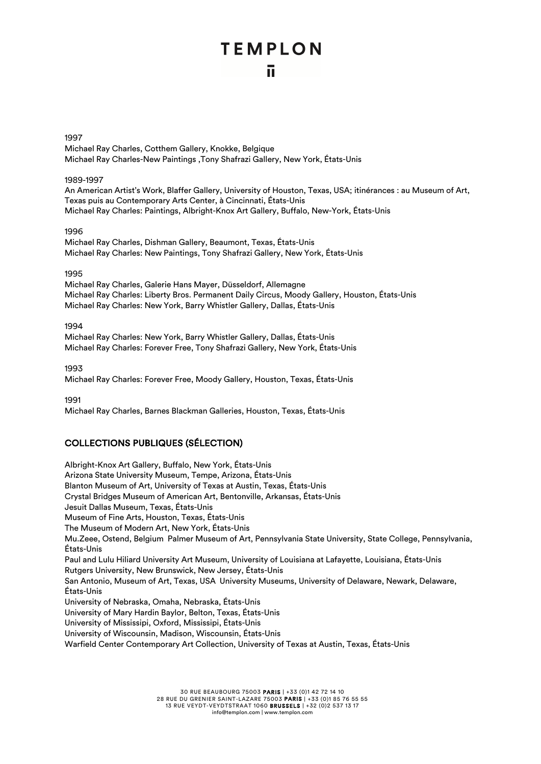# **TEMPLON**

#### 1997

Michael Ray Charles, Cotthem Gallery, Knokke, Belgique Michael Ray Charles-New Paintings ,Tony Shafrazi Gallery, New York, États-Unis

#### 1989-1997

An American Artist's Work, Blaffer Gallery, University of Houston, Texas, USA; itinérances : au Museum of Art, Texas puis au Contemporary Arts Center, à Cincinnati, États-Unis Michael Ray Charles: Paintings, Albright-Knox Art Gallery, Buffalo, New-York, États-Unis

#### 1996

Michael Ray Charles, Dishman Gallery, Beaumont, Texas, États-Unis Michael Ray Charles: New Paintings, Tony Shafrazi Gallery, New York, États-Unis

#### 1995

Michael Ray Charles, Galerie Hans Mayer, Düsseldorf, Allemagne Michael Ray Charles: Liberty Bros. Permanent Daily Circus, Moody Gallery, Houston, États-Unis Michael Ray Charles: New York, Barry Whistler Gallery, Dallas, États-Unis

 $199A$ 

Michael Ray Charles: New York, Barry Whistler Gallery, Dallas, États-Unis Michael Ray Charles: Forever Free, Tony Shafrazi Gallery, New York, États-Unis

1993

Michael Ray Charles: Forever Free, Moody Gallery, Houston, Texas, États-Unis

1991

Michael Ray Charles, Barnes Blackman Galleries, Houston, Texas, États-Unis

## COLLECTIONS PUBLIQUES (SÉLECTION)

Albright-Knox Art Gallery, Buffalo, New York, États-Unis Arizona State University Museum, Tempe, Arizona, États-Unis Blanton Museum of Art, University of Texas at Austin, Texas, États-Unis Crystal Bridges Museum of American Art, Bentonville, Arkansas, États-Unis Jesuit Dallas Museum, Texas, États-Unis Museum of Fine Arts, Houston, Texas, États-Unis The Museum of Modern Art, New York, États-Unis Mu.Zeee, Ostend, Belgium Palmer Museum of Art, Pennsylvania State University, State College, Pennsylvania, États-Unis Paul and Lulu Hiliard University Art Museum, University of Louisiana at Lafayette, Louisiana, États-Unis Rutgers University, New Brunswick, New Jersey, États-Unis San Antonio, Museum of Art, Texas, USA University Museums, University of Delaware, Newark, Delaware, États-Unis University of Nebraska, Omaha, Nebraska, États-Unis University of Mary Hardin Baylor, Belton, Texas, États-Unis University of Mississipi, Oxford, Mississipi, États-Unis University of Wiscounsin, Madison, Wiscounsin, États-Unis Warfield Center Contemporary Art Collection, University of Texas at Austin, Texas, États-Unis

> 30 RUE BEAUBOURG 75003 PARIS | +33 (0)1 42 72 14 10 28 RUE DU GRENIER SAINT-LAZARE 75003 PARIS | +33 (0)1 85 76 55 55 13 RUE VEYDT-VEYDTSTRAAT 1060 BRUSSELS | +32 (0)2 537 13 17 info@templon.com | www.templon.com